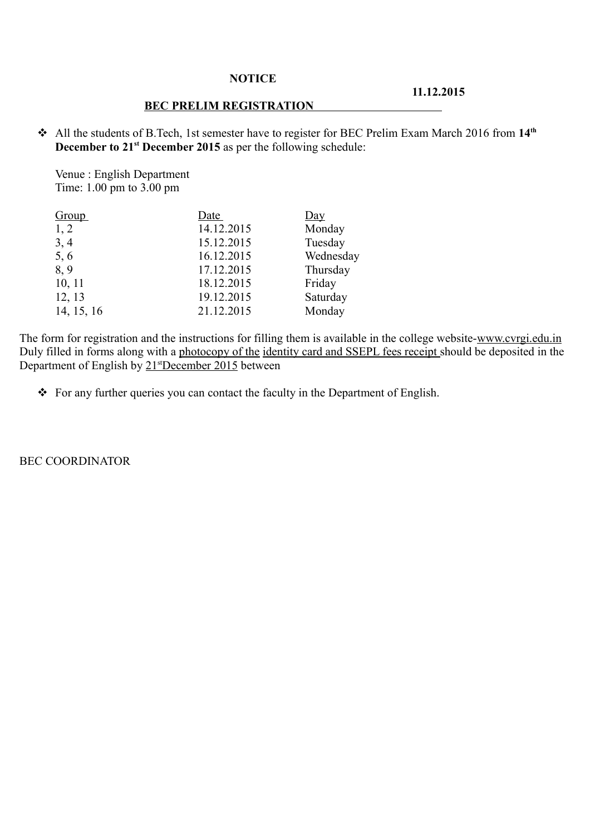## **NOTICE**

## **11.12.2015**

## **BEC PRELIM REGISTRATION**

 All the students of B.Tech, 1st semester have to register for BEC Prelim Exam March 2016 from **14th December to 21<sup>st</sup> December 2015** as per the following schedule:

Venue : English Department Time: 1.00 pm to 3.00 pm

| <b>Group</b> | Date       | $\overline{Day}$ |
|--------------|------------|------------------|
| 1, 2         | 14.12.2015 | Monday           |
| 3, 4         | 15.12.2015 | Tuesday          |
| 5,6          | 16.12.2015 | Wednesday        |
| 8,9          | 17.12.2015 | Thursday         |
| 10, 11       | 18.12.2015 | Friday           |
| 12, 13       | 19.12.2015 | Saturday         |
| 14, 15, 16   | 21.12.2015 | Monday           |

The form for registration and the instructions for filling them is available in the college website-www.cvrgi.edu.in Duly filled in forms along with a photocopy of the identity card and SSEPL fees receipt should be deposited in the Department of English by 21<sup>st</sup>December 2015 between

For any further queries you can contact the faculty in the Department of English.

BEC COORDINATOR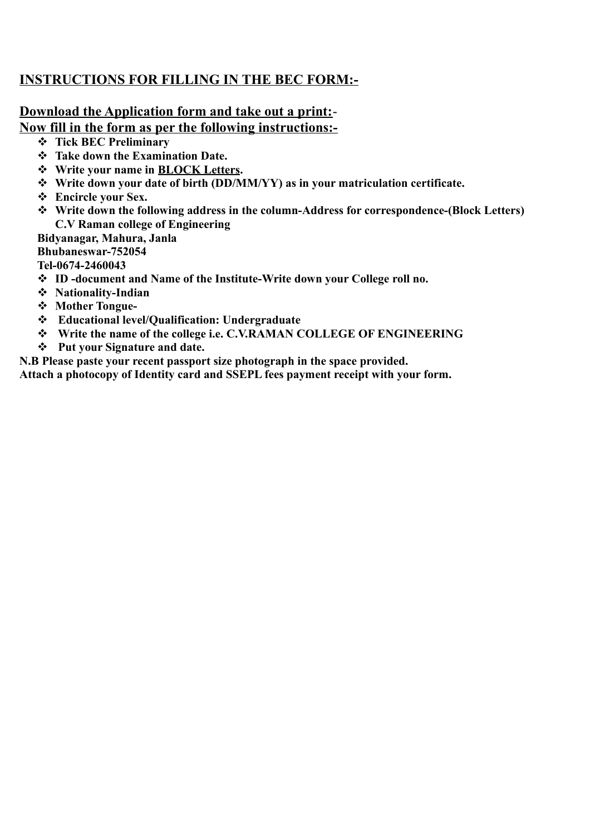## **INSTRUCTIONS FOR FILLING IN THE BEC FORM:-**

## **Download the Application form and take out a print:**- **Now fill in the form as per the following instructions:-**

- **Tick BEC Preliminary**
- **Take down the Examination Date.**
- **Write your name in BLOCK Letters.**
- **Write down your date of birth (DD/MM/YY) as in your matriculation certificate.**
- **Encircle your Sex.**
- **Write down the following address in the column-Address for correspondence-(Block Letters) C.V Raman college of Engineering**

**Bidyanagar, Mahura, Janla**

**Bhubaneswar-752054**

**Tel-0674-2460043**

- **ID -document and Name of the Institute-Write down your College roll no.**
- **Nationality-Indian**
- **Mother Tongue-**
- **Educational level/Qualification: Undergraduate**
- **Write the name of the college i.e. C.V.RAMAN COLLEGE OF ENGINEERING**
- **Put your Signature and date.**

**N.B Please paste your recent passport size photograph in the space provided.**

**Attach a photocopy of Identity card and SSEPL fees payment receipt with your form.**